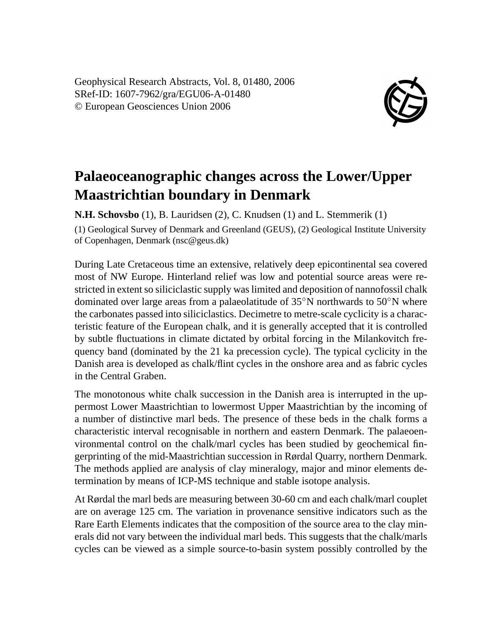Geophysical Research Abstracts, Vol. 8, 01480, 2006 SRef-ID: 1607-7962/gra/EGU06-A-01480 © European Geosciences Union 2006



## **Palaeoceanographic changes across the Lower/Upper Maastrichtian boundary in Denmark**

**N.H. Schovsbo** (1), B. Lauridsen (2), C. Knudsen (1) and L. Stemmerik (1) (1) Geological Survey of Denmark and Greenland (GEUS), (2) Geological Institute University of Copenhagen, Denmark (nsc@geus.dk)

During Late Cretaceous time an extensive, relatively deep epicontinental sea covered most of NW Europe. Hinterland relief was low and potential source areas were restricted in extent so siliciclastic supply was limited and deposition of nannofossil chalk dominated over large areas from a palaeolatitude of  $35°N$  northwards to  $50°N$  where the carbonates passed into siliciclastics. Decimetre to metre-scale cyclicity is a characteristic feature of the European chalk, and it is generally accepted that it is controlled by subtle fluctuations in climate dictated by orbital forcing in the Milankovitch frequency band (dominated by the 21 ka precession cycle). The typical cyclicity in the Danish area is developed as chalk/flint cycles in the onshore area and as fabric cycles in the Central Graben.

The monotonous white chalk succession in the Danish area is interrupted in the uppermost Lower Maastrichtian to lowermost Upper Maastrichtian by the incoming of a number of distinctive marl beds. The presence of these beds in the chalk forms a characteristic interval recognisable in northern and eastern Denmark. The palaeoenvironmental control on the chalk/marl cycles has been studied by geochemical fingerprinting of the mid-Maastrichtian succession in Rørdal Quarry, northern Denmark. The methods applied are analysis of clay mineralogy, major and minor elements determination by means of ICP-MS technique and stable isotope analysis.

At Rørdal the marl beds are measuring between 30-60 cm and each chalk/marl couplet are on average 125 cm. The variation in provenance sensitive indicators such as the Rare Earth Elements indicates that the composition of the source area to the clay minerals did not vary between the individual marl beds. This suggests that the chalk/marls cycles can be viewed as a simple source-to-basin system possibly controlled by the